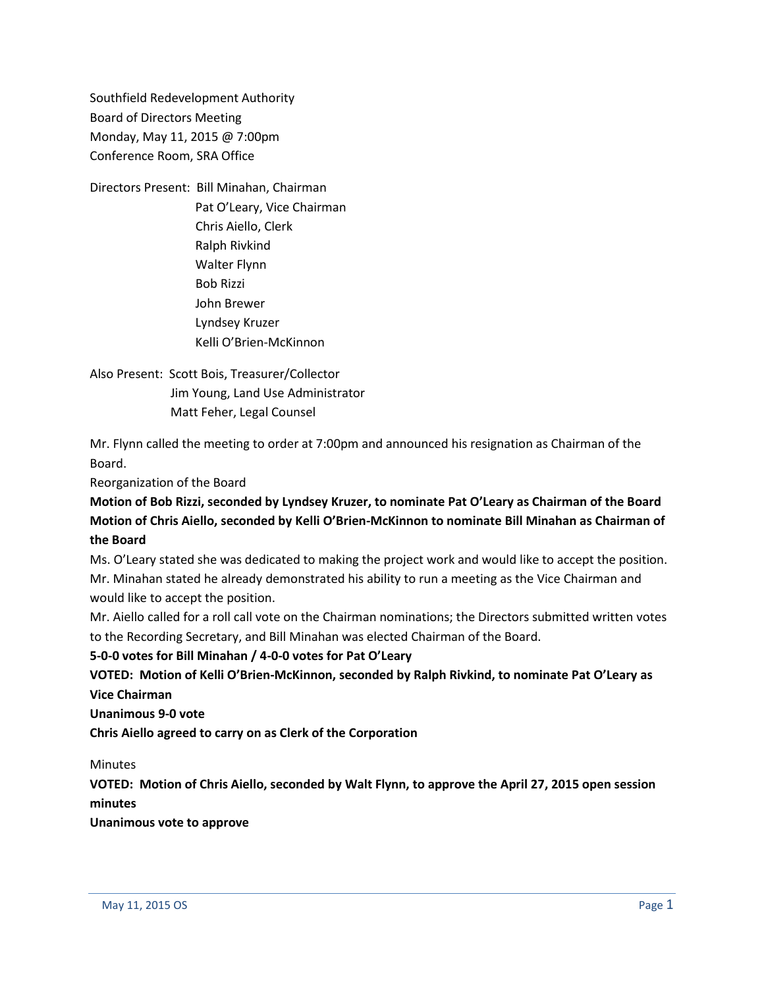Southfield Redevelopment Authority Board of Directors Meeting Monday, May 11, 2015 @ 7:00pm Conference Room, SRA Office

Directors Present: Bill Minahan, Chairman Pat O'Leary, Vice Chairman Chris Aiello, Clerk Ralph Rivkind Walter Flynn Bob Rizzi John Brewer Lyndsey Kruzer Kelli O'Brien-McKinnon

Also Present: Scott Bois, Treasurer/Collector Jim Young, Land Use Administrator Matt Feher, Legal Counsel

Mr. Flynn called the meeting to order at 7:00pm and announced his resignation as Chairman of the Board.

Reorganization of the Board

**Motion of Bob Rizzi, seconded by Lyndsey Kruzer, to nominate Pat O'Leary as Chairman of the Board Motion of Chris Aiello, seconded by Kelli O'Brien-McKinnon to nominate Bill Minahan as Chairman of the Board**

Ms. O'Leary stated she was dedicated to making the project work and would like to accept the position. Mr. Minahan stated he already demonstrated his ability to run a meeting as the Vice Chairman and would like to accept the position.

Mr. Aiello called for a roll call vote on the Chairman nominations; the Directors submitted written votes to the Recording Secretary, and Bill Minahan was elected Chairman of the Board.

## **5-0-0 votes for Bill Minahan / 4-0-0 votes for Pat O'Leary**

# **VOTED: Motion of Kelli O'Brien-McKinnon, seconded by Ralph Rivkind, to nominate Pat O'Leary as Vice Chairman**

**Unanimous 9-0 vote**

**Chris Aiello agreed to carry on as Clerk of the Corporation**

**Minutes** 

**VOTED: Motion of Chris Aiello, seconded by Walt Flynn, to approve the April 27, 2015 open session minutes**

**Unanimous vote to approve**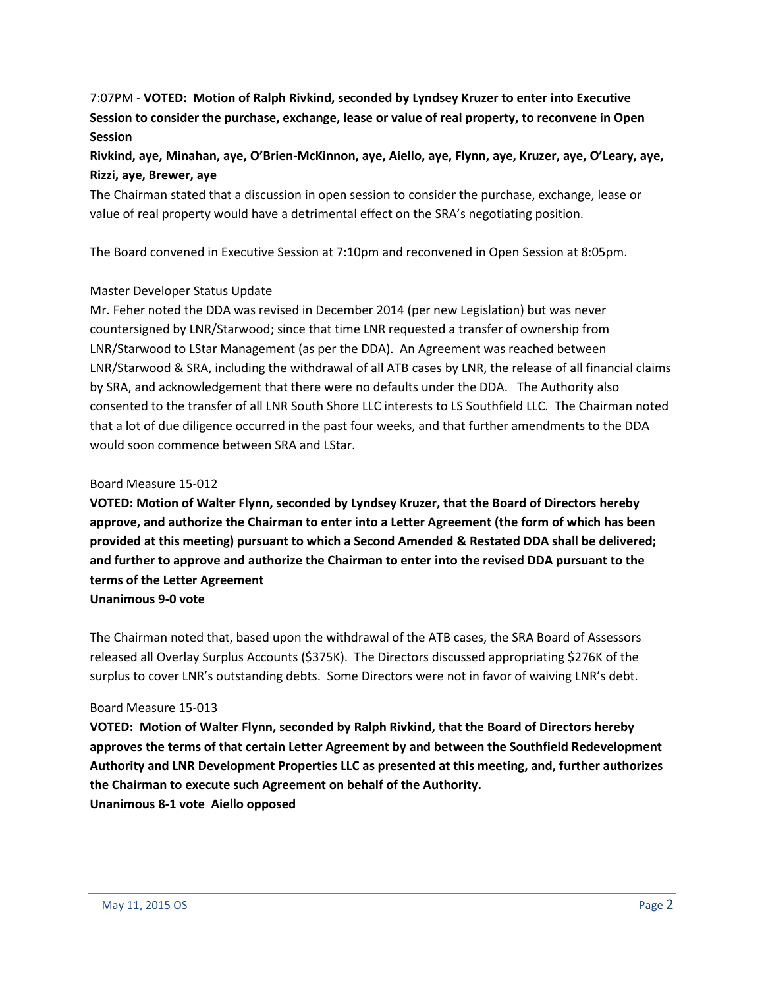# 7:07PM - **VOTED: Motion of Ralph Rivkind, seconded by Lyndsey Kruzer to enter into Executive Session to consider the purchase, exchange, lease or value of real property, to reconvene in Open Session**

# **Rivkind, aye, Minahan, aye, O'Brien-McKinnon, aye, Aiello, aye, Flynn, aye, Kruzer, aye, O'Leary, aye, Rizzi, aye, Brewer, aye**

The Chairman stated that a discussion in open session to consider the purchase, exchange, lease or value of real property would have a detrimental effect on the SRA's negotiating position.

The Board convened in Executive Session at 7:10pm and reconvened in Open Session at 8:05pm.

### Master Developer Status Update

Mr. Feher noted the DDA was revised in December 2014 (per new Legislation) but was never countersigned by LNR/Starwood; since that time LNR requested a transfer of ownership from LNR/Starwood to LStar Management (as per the DDA). An Agreement was reached between LNR/Starwood & SRA, including the withdrawal of all ATB cases by LNR, the release of all financial claims by SRA, and acknowledgement that there were no defaults under the DDA. The Authority also consented to the transfer of all LNR South Shore LLC interests to LS Southfield LLC. The Chairman noted that a lot of due diligence occurred in the past four weeks, and that further amendments to the DDA would soon commence between SRA and LStar.

### Board Measure 15-012

**VOTED: Motion of Walter Flynn, seconded by Lyndsey Kruzer, that the Board of Directors hereby approve, and authorize the Chairman to enter into a Letter Agreement (the form of which has been provided at this meeting) pursuant to which a Second Amended & Restated DDA shall be delivered; and further to approve and authorize the Chairman to enter into the revised DDA pursuant to the terms of the Letter Agreement**

**Unanimous 9-0 vote**

The Chairman noted that, based upon the withdrawal of the ATB cases, the SRA Board of Assessors released all Overlay Surplus Accounts (\$375K). The Directors discussed appropriating \$276K of the surplus to cover LNR's outstanding debts. Some Directors were not in favor of waiving LNR's debt.

### Board Measure 15-013

**VOTED: Motion of Walter Flynn, seconded by Ralph Rivkind, that the Board of Directors hereby approves the terms of that certain Letter Agreement by and between the Southfield Redevelopment Authority and LNR Development Properties LLC as presented at this meeting, and, further authorizes the Chairman to execute such Agreement on behalf of the Authority. Unanimous 8-1 vote Aiello opposed**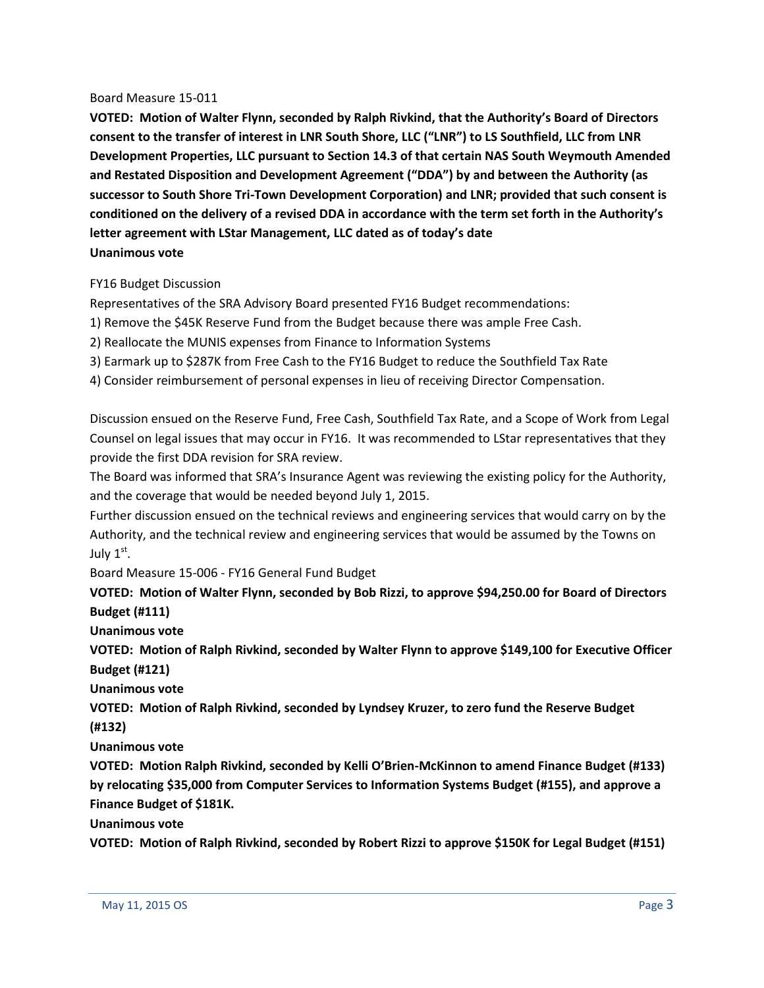#### Board Measure 15-011

**VOTED: Motion of Walter Flynn, seconded by Ralph Rivkind, that the Authority's Board of Directors consent to the transfer of interest in LNR South Shore, LLC ("LNR") to LS Southfield, LLC from LNR Development Properties, LLC pursuant to Section 14.3 of that certain NAS South Weymouth Amended and Restated Disposition and Development Agreement ("DDA") by and between the Authority (as successor to South Shore Tri-Town Development Corporation) and LNR; provided that such consent is conditioned on the delivery of a revised DDA in accordance with the term set forth in the Authority's letter agreement with LStar Management, LLC dated as of today's date Unanimous vote**

### FY16 Budget Discussion

Representatives of the SRA Advisory Board presented FY16 Budget recommendations:

1) Remove the \$45K Reserve Fund from the Budget because there was ample Free Cash.

2) Reallocate the MUNIS expenses from Finance to Information Systems

3) Earmark up to \$287K from Free Cash to the FY16 Budget to reduce the Southfield Tax Rate

4) Consider reimbursement of personal expenses in lieu of receiving Director Compensation.

Discussion ensued on the Reserve Fund, Free Cash, Southfield Tax Rate, and a Scope of Work from Legal Counsel on legal issues that may occur in FY16. It was recommended to LStar representatives that they provide the first DDA revision for SRA review.

The Board was informed that SRA's Insurance Agent was reviewing the existing policy for the Authority, and the coverage that would be needed beyond July 1, 2015.

Further discussion ensued on the technical reviews and engineering services that would carry on by the Authority, and the technical review and engineering services that would be assumed by the Towns on July  $1^{\text{st}}$ .

Board Measure 15-006 - FY16 General Fund Budget

**VOTED: Motion of Walter Flynn, seconded by Bob Rizzi, to approve \$94,250.00 for Board of Directors Budget (#111)**

**Unanimous vote**

**VOTED: Motion of Ralph Rivkind, seconded by Walter Flynn to approve \$149,100 for Executive Officer Budget (#121)**

**Unanimous vote**

**VOTED: Motion of Ralph Rivkind, seconded by Lyndsey Kruzer, to zero fund the Reserve Budget (#132)**

**Unanimous vote**

**VOTED: Motion Ralph Rivkind, seconded by Kelli O'Brien-McKinnon to amend Finance Budget (#133) by relocating \$35,000 from Computer Services to Information Systems Budget (#155), and approve a Finance Budget of \$181K.**

**Unanimous vote**

**VOTED: Motion of Ralph Rivkind, seconded by Robert Rizzi to approve \$150K for Legal Budget (#151)**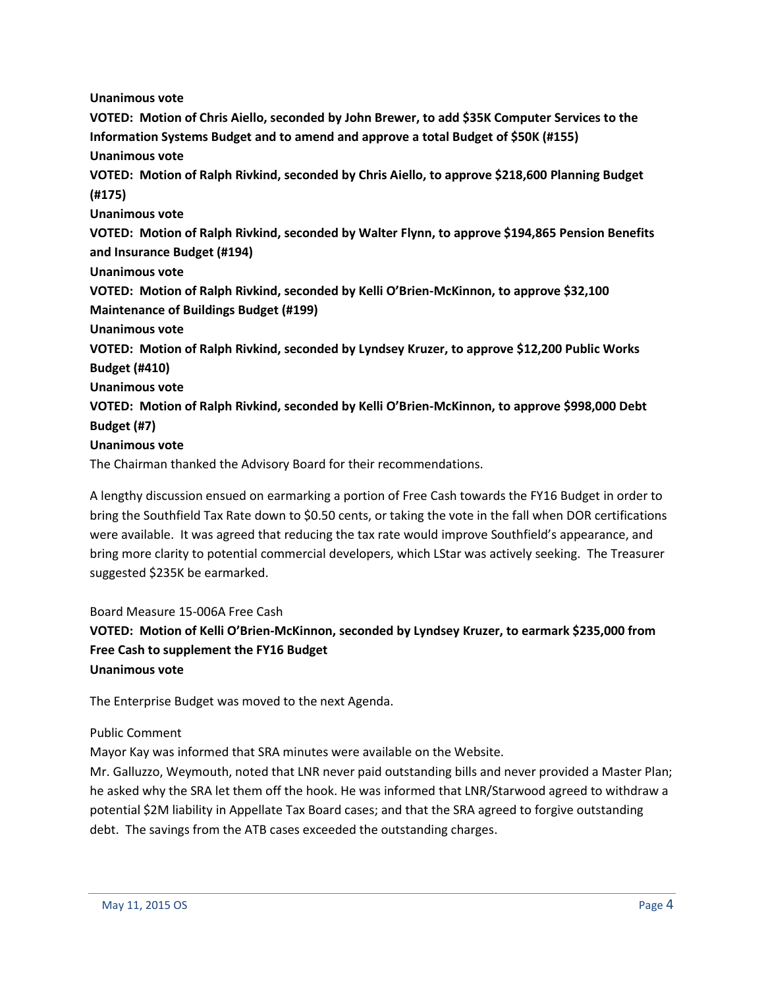**Unanimous vote**

**VOTED: Motion of Chris Aiello, seconded by John Brewer, to add \$35K Computer Services to the Information Systems Budget and to amend and approve a total Budget of \$50K (#155) Unanimous vote**

**VOTED: Motion of Ralph Rivkind, seconded by Chris Aiello, to approve \$218,600 Planning Budget (#175)**

**Unanimous vote**

**VOTED: Motion of Ralph Rivkind, seconded by Walter Flynn, to approve \$194,865 Pension Benefits and Insurance Budget (#194)**

**Unanimous vote**

**VOTED: Motion of Ralph Rivkind, seconded by Kelli O'Brien-McKinnon, to approve \$32,100 Maintenance of Buildings Budget (#199)**

**Unanimous vote**

**VOTED: Motion of Ralph Rivkind, seconded by Lyndsey Kruzer, to approve \$12,200 Public Works Budget (#410)**

**Unanimous vote**

**VOTED: Motion of Ralph Rivkind, seconded by Kelli O'Brien-McKinnon, to approve \$998,000 Debt Budget (#7)**

**Unanimous vote**

The Chairman thanked the Advisory Board for their recommendations.

A lengthy discussion ensued on earmarking a portion of Free Cash towards the FY16 Budget in order to bring the Southfield Tax Rate down to \$0.50 cents, or taking the vote in the fall when DOR certifications were available. It was agreed that reducing the tax rate would improve Southfield's appearance, and bring more clarity to potential commercial developers, which LStar was actively seeking. The Treasurer suggested \$235K be earmarked.

### Board Measure 15-006A Free Cash

**VOTED: Motion of Kelli O'Brien-McKinnon, seconded by Lyndsey Kruzer, to earmark \$235,000 from Free Cash to supplement the FY16 Budget Unanimous vote**

The Enterprise Budget was moved to the next Agenda.

#### Public Comment

Mayor Kay was informed that SRA minutes were available on the Website.

Mr. Galluzzo, Weymouth, noted that LNR never paid outstanding bills and never provided a Master Plan; he asked why the SRA let them off the hook. He was informed that LNR/Starwood agreed to withdraw a potential \$2M liability in Appellate Tax Board cases; and that the SRA agreed to forgive outstanding debt. The savings from the ATB cases exceeded the outstanding charges.